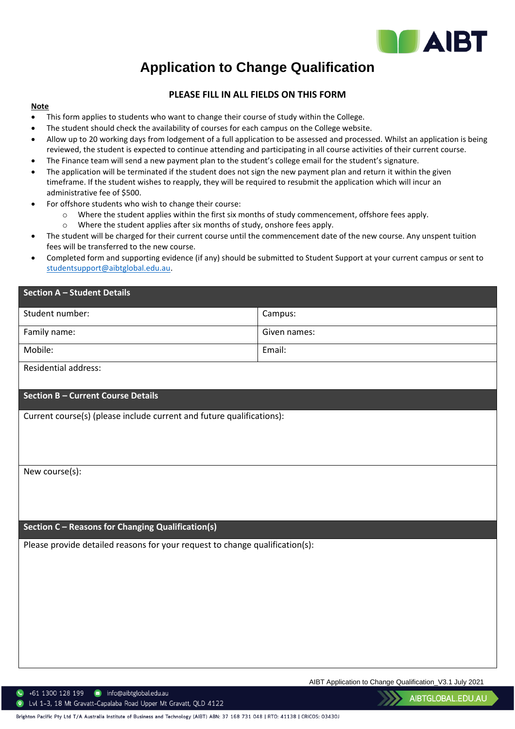

## **Application to Change Qualification**

## **PLEASE FILL IN ALL FIELDS ON THIS FORM**

## **Note**

- This form applies to students who want to change their course of study within the College.
- The student should check the availability of courses for each campus on the College website.
- Allow up to 20 working days from lodgement of a full application to be assessed and processed. Whilst an application is being reviewed, the student is expected to continue attending and participating in all course activities of their current course.
- The Finance team will send a new payment plan to the student's college email for the student's signature.
- The application will be terminated if the student does not sign the new payment plan and return it within the given timeframe. If the student wishes to reapply, they will be required to resubmit the application which will incur an administrative fee of \$500.
- For offshore students who wish to change their course:
	- o Where the student applies within the first six months of study commencement, offshore fees apply.
	- o Where the student applies after six months of study, onshore fees apply.
- The student will be charged for their current course until the commencement date of the new course. Any unspent tuition fees will be transferred to the new course.
- Completed form and supporting evidence (if any) should be submitted to Student Support at your current campus or sent to [studentsupport@aibtglobal.edu.au.](mailto:studentsupport@aibtglobal.edu.au)

| Section A – Student Details                                                  |              |  |
|------------------------------------------------------------------------------|--------------|--|
| Student number:                                                              | Campus:      |  |
| Family name:                                                                 | Given names: |  |
| Mobile:                                                                      | Email:       |  |
| Residential address:                                                         |              |  |
| <b>Section B - Current Course Details</b>                                    |              |  |
| Current course(s) (please include current and future qualifications):        |              |  |
|                                                                              |              |  |
|                                                                              |              |  |
| New course(s):                                                               |              |  |
|                                                                              |              |  |
|                                                                              |              |  |
| Section C - Reasons for Changing Qualification(s)                            |              |  |
| Please provide detailed reasons for your request to change qualification(s): |              |  |
|                                                                              |              |  |
|                                                                              |              |  |
|                                                                              |              |  |
|                                                                              |              |  |
|                                                                              |              |  |
|                                                                              |              |  |

AIBT Application to Change Qualification\_V3.1 July 2021

 $\bullet$  +61 1300 128 199  $\bullet$  info@aibtglobal.edu.au

122 Lvl 1-3, 18 Mt Gravatt-Capalaba Road Upper Mt Gravatt, QLD 4122

AIBTGLOBAL.EDU.AU